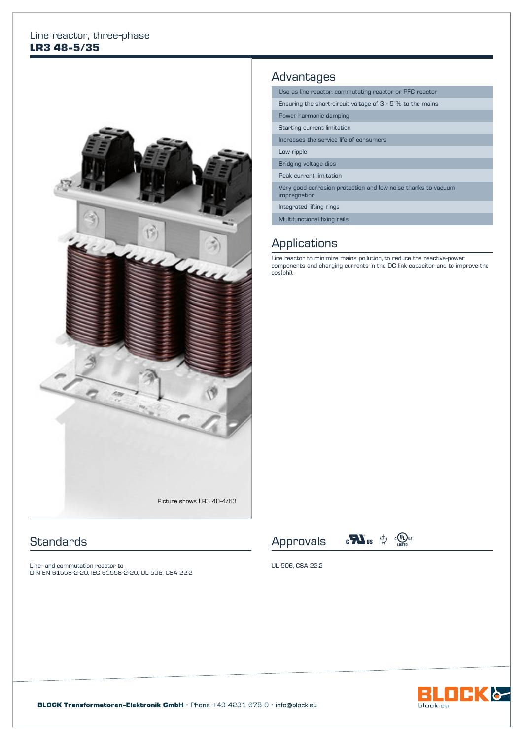#### Line reactor, three-phase **LR3 48-5/35**



## **Standards**

Line- and commutation reactor to DIN EN 61558-2-20, IEC 61558-2-20, UL 506, CSA 22.2

### Advantages

|  | Use as line reactor, commutating reactor or PFC reactor                       |  |  |  |  |
|--|-------------------------------------------------------------------------------|--|--|--|--|
|  | Ensuring the short-circuit voltage of $3 - 5$ % to the mains                  |  |  |  |  |
|  | Power harmonic damping                                                        |  |  |  |  |
|  | Starting current limitation                                                   |  |  |  |  |
|  | Increases the service life of consumers                                       |  |  |  |  |
|  | Low ripple                                                                    |  |  |  |  |
|  | Bridging voltage dips                                                         |  |  |  |  |
|  | Peak current limitation                                                       |  |  |  |  |
|  | Very good corrosion protection and low noise thanks to vacuum<br>impregnation |  |  |  |  |
|  | Integrated lifting rings                                                      |  |  |  |  |
|  | Multifunctional fixing rails                                                  |  |  |  |  |

#### **Applications**

Line reactor to minimize mains pollution, to reduce the reactive-power components and charging currents in the DC link capacitor and to improve the cos(phi).





UL 506, CSA 22.2